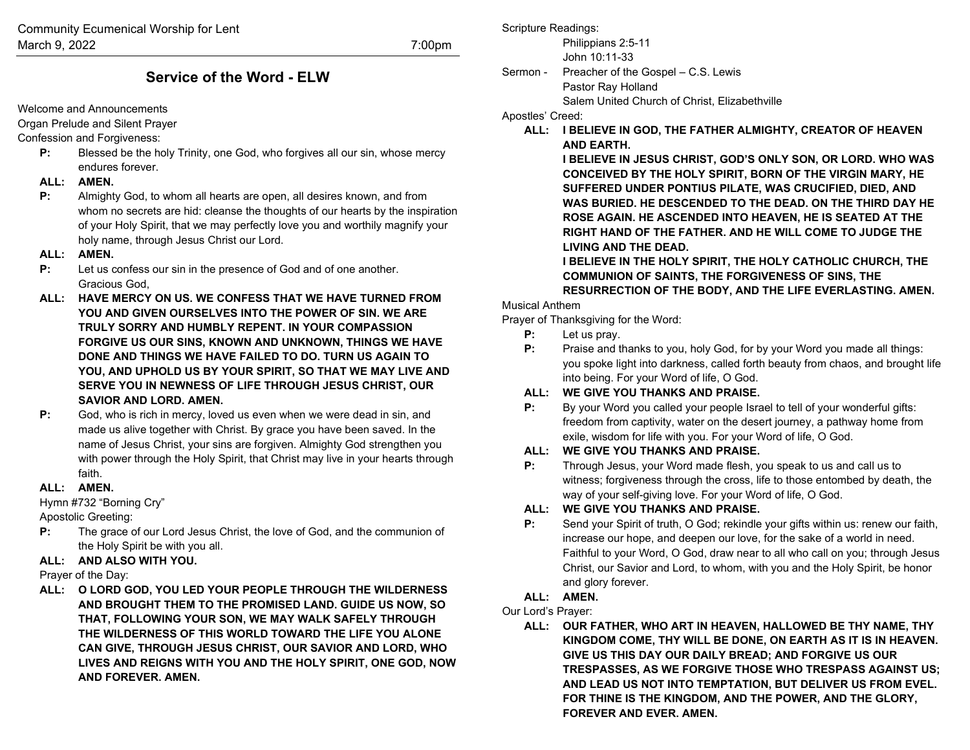# **Service of the Word - ELW**

Welcome and Announcements

Organ Prelude and Silent Prayer

Confession and Forgiveness:

**P:** Blessed be the holy Trinity, one God, who forgives all our sin, whose mercy endures forever.

## **ALL: AMEN.**

**P:** Almighty God, to whom all hearts are open, all desires known, and from whom no secrets are hid: cleanse the thoughts of our hearts by the inspiration of your Holy Spirit, that we may perfectly love you and worthily magnify your holy name, through Jesus Christ our Lord.

#### **ALL: AMEN.**

- **P:** Let us confess our sin in the presence of God and of one another. Gracious God,
- **ALL: HAVE MERCY ON US. WE CONFESS THAT WE HAVE TURNED FROM YOU AND GIVEN OURSELVES INTO THE POWER OF SIN. WE ARE TRULY SORRY AND HUMBLY REPENT. IN YOUR COMPASSION FORGIVE US OUR SINS, KNOWN AND UNKNOWN, THINGS WE HAVE DONE AND THINGS WE HAVE FAILED TO DO. TURN US AGAIN TO YOU, AND UPHOLD US BY YOUR SPIRIT, SO THAT WE MAY LIVE AND SERVE YOU IN NEWNESS OF LIFE THROUGH JESUS CHRIST, OUR SAVIOR AND LORD. AMEN.**
- **P:** God, who is rich in mercy, loved us even when we were dead in sin, and made us alive together with Christ. By grace you have been saved. In the name of Jesus Christ, your sins are forgiven. Almighty God strengthen you with power through the Holy Spirit, that Christ may live in your hearts through faith.

## **ALL: AMEN.**

Hymn #732 "Borning Cry"

Apostolic Greeting:

**P:** The grace of our Lord Jesus Christ, the love of God, and the communion of the Holy Spirit be with you all.

## **ALL: AND ALSO WITH YOU.**

Prayer of the Day:

**ALL: O LORD GOD, YOU LED YOUR PEOPLE THROUGH THE WILDERNESS AND BROUGHT THEM TO THE PROMISED LAND. GUIDE US NOW, SO THAT, FOLLOWING YOUR SON, WE MAY WALK SAFELY THROUGH THE WILDERNESS OF THIS WORLD TOWARD THE LIFE YOU ALONE CAN GIVE, THROUGH JESUS CHRIST, OUR SAVIOR AND LORD, WHO LIVES AND REIGNS WITH YOU AND THE HOLY SPIRIT, ONE GOD, NOW AND FOREVER. AMEN.**

Scripture Readings:

Philippians 2:5-11 John 10:11-33

Sermon - Preacher of the Gospel – C.S. Lewis Pastor Ray Holland Salem United Church of Christ, Elizabethville

Apostles' Creed:

**ALL: I BELIEVE IN GOD, THE FATHER ALMIGHTY, CREATOR OF HEAVEN AND EARTH.** 

> **I BELIEVE IN JESUS CHRIST, GOD'S ONLY SON, OR LORD. WHO WAS CONCEIVED BY THE HOLY SPIRIT, BORN OF THE VIRGIN MARY, HE SUFFERED UNDER PONTIUS PILATE, WAS CRUCIFIED, DIED, AND WAS BURIED. HE DESCENDED TO THE DEAD. ON THE THIRD DAY HE ROSE AGAIN. HE ASCENDED INTO HEAVEN, HE IS SEATED AT THE RIGHT HAND OF THE FATHER. AND HE WILL COME TO JUDGE THE LIVING AND THE DEAD.**

> **I BELIEVE IN THE HOLY SPIRIT, THE HOLY CATHOLIC CHURCH, THE COMMUNION OF SAINTS, THE FORGIVENESS OF SINS, THE RESURRECTION OF THE BODY, AND THE LIFE EVERLASTING. AMEN.**

## Musical Anthem

Prayer of Thanksgiving for the Word:

- **P:** Let us pray.
- **P:** Praise and thanks to you, holy God, for by your Word you made all things: you spoke light into darkness, called forth beauty from chaos, and brought life into being. For your Word of life, O God.

## **ALL: WE GIVE YOU THANKS AND PRAISE.**

**P:** By your Word you called your people Israel to tell of your wonderful gifts: freedom from captivity, water on the desert journey, a pathway home from exile, wisdom for life with you. For your Word of life, O God.

## **ALL: WE GIVE YOU THANKS AND PRAISE.**

**P:** Through Jesus, your Word made flesh, you speak to us and call us to witness; forgiveness through the cross, life to those entombed by death, the way of your self-giving love. For your Word of life, O God.

## **ALL: WE GIVE YOU THANKS AND PRAISE.**

**P:** Send your Spirit of truth, O God; rekindle your gifts within us: renew our faith, increase our hope, and deepen our love, for the sake of a world in need. Faithful to your Word, O God, draw near to all who call on you; through Jesus Christ, our Savior and Lord, to whom, with you and the Holy Spirit, be honor and glory forever.

## **ALL: AMEN.**

Our Lord's Prayer:

**ALL: OUR FATHER, WHO ART IN HEAVEN, HALLOWED BE THY NAME, THY KINGDOM COME, THY WILL BE DONE, ON EARTH AS IT IS IN HEAVEN. GIVE US THIS DAY OUR DAILY BREAD; AND FORGIVE US OUR TRESPASSES, AS WE FORGIVE THOSE WHO TRESPASS AGAINST US; AND LEAD US NOT INTO TEMPTATION, BUT DELIVER US FROM EVEL. FOR THINE IS THE KINGDOM, AND THE POWER, AND THE GLORY, FOREVER AND EVER. AMEN.**